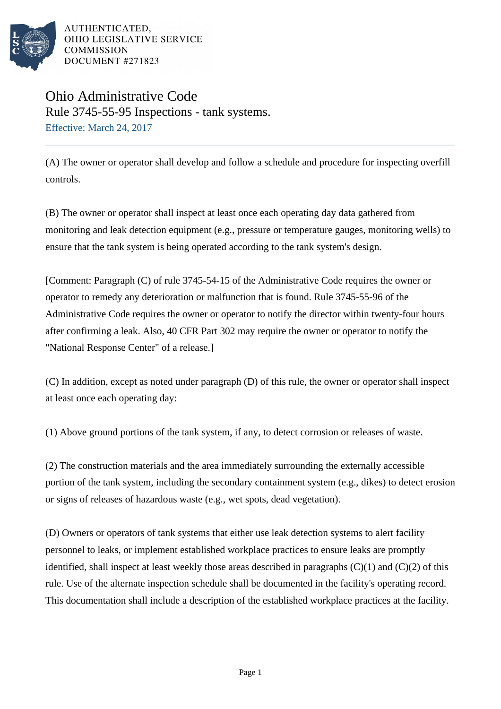

AUTHENTICATED. OHIO LEGISLATIVE SERVICE **COMMISSION** DOCUMENT #271823

## Ohio Administrative Code Rule 3745-55-95 Inspections - tank systems. Effective: March 24, 2017

(A) The owner or operator shall develop and follow a schedule and procedure for inspecting overfill controls.

(B) The owner or operator shall inspect at least once each operating day data gathered from monitoring and leak detection equipment (e.g., pressure or temperature gauges, monitoring wells) to ensure that the tank system is being operated according to the tank system's design.

[Comment: Paragraph (C) of rule 3745-54-15 of the Administrative Code requires the owner or operator to remedy any deterioration or malfunction that is found. Rule 3745-55-96 of the Administrative Code requires the owner or operator to notify the director within twenty-four hours after confirming a leak. Also, 40 CFR Part 302 may require the owner or operator to notify the "National Response Center" of a release.]

(C) In addition, except as noted under paragraph (D) of this rule, the owner or operator shall inspect at least once each operating day:

(1) Above ground portions of the tank system, if any, to detect corrosion or releases of waste.

(2) The construction materials and the area immediately surrounding the externally accessible portion of the tank system, including the secondary containment system (e.g., dikes) to detect erosion or signs of releases of hazardous waste (e.g., wet spots, dead vegetation).

(D) Owners or operators of tank systems that either use leak detection systems to alert facility personnel to leaks, or implement established workplace practices to ensure leaks are promptly identified, shall inspect at least weekly those areas described in paragraphs  $(C)(1)$  and  $(C)(2)$  of this rule. Use of the alternate inspection schedule shall be documented in the facility's operating record. This documentation shall include a description of the established workplace practices at the facility.